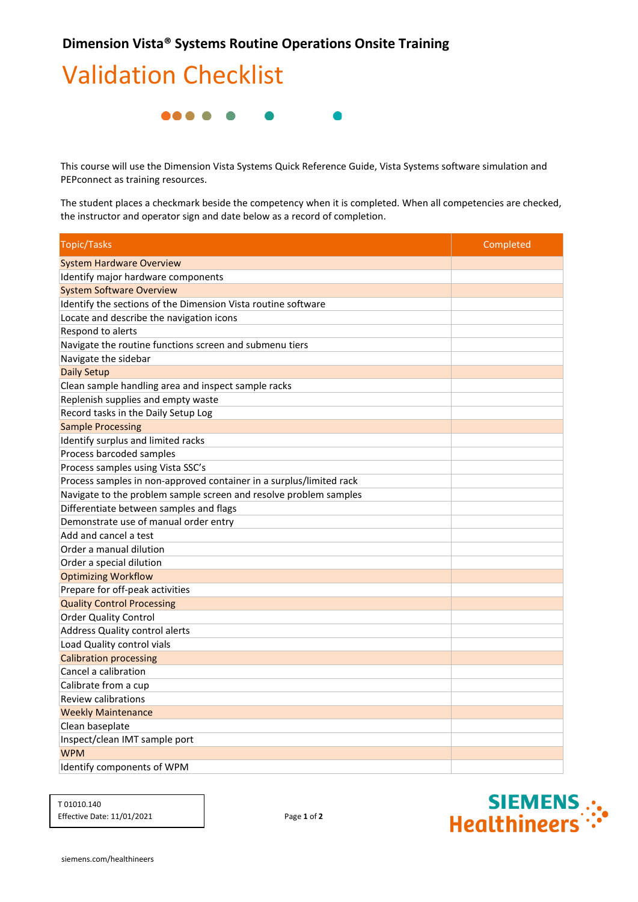## Validation Checklist



 PEPconnect as training resources. This course will use the Dimension Vista Systems Quick Reference Guide, Vista Systems software simulation and

The student places a checkmark beside the competency when it is completed. When all competencies are checked, the instructor and operator sign and date below as a record of completion.

| <b>Topic/Tasks</b>                                                  | Completed |
|---------------------------------------------------------------------|-----------|
| <b>System Hardware Overview</b>                                     |           |
| Identify major hardware components                                  |           |
| <b>System Software Overview</b>                                     |           |
| Identify the sections of the Dimension Vista routine software       |           |
| Locate and describe the navigation icons                            |           |
| Respond to alerts                                                   |           |
| Navigate the routine functions screen and submenu tiers             |           |
| Navigate the sidebar                                                |           |
| <b>Daily Setup</b>                                                  |           |
| Clean sample handling area and inspect sample racks                 |           |
| Replenish supplies and empty waste                                  |           |
| Record tasks in the Daily Setup Log                                 |           |
| <b>Sample Processing</b>                                            |           |
| Identify surplus and limited racks                                  |           |
| Process barcoded samples                                            |           |
| Process samples using Vista SSC's                                   |           |
| Process samples in non-approved container in a surplus/limited rack |           |
| Navigate to the problem sample screen and resolve problem samples   |           |
| Differentiate between samples and flags                             |           |
| Demonstrate use of manual order entry                               |           |
| Add and cancel a test                                               |           |
| Order a manual dilution                                             |           |
| Order a special dilution                                            |           |
| <b>Optimizing Workflow</b>                                          |           |
| Prepare for off-peak activities                                     |           |
| <b>Quality Control Processing</b>                                   |           |
| <b>Order Quality Control</b>                                        |           |
| <b>Address Quality control alerts</b>                               |           |
| Load Quality control vials                                          |           |
| <b>Calibration processing</b>                                       |           |
| Cancel a calibration                                                |           |
| Calibrate from a cup                                                |           |
| <b>Review calibrations</b>                                          |           |
| <b>Weekly Maintenance</b>                                           |           |
| Clean baseplate                                                     |           |
| Inspect/clean IMT sample port                                       |           |
| <b>WPM</b>                                                          |           |
| Identify components of WPM                                          |           |

T 01010.140 Effective Date: 11/01/2021